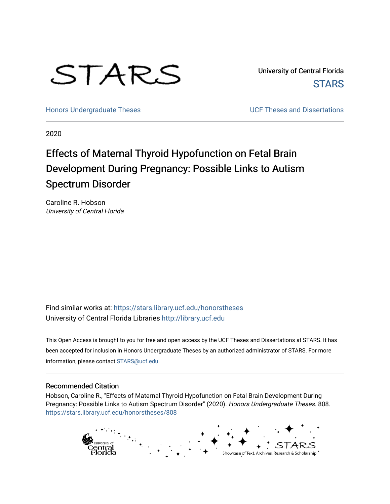

University of Central Florida **STARS** 

[Honors Undergraduate Theses](https://stars.library.ucf.edu/honorstheses) **No. 2018** UCF Theses and Dissertations

2020

# Effects of Maternal Thyroid Hypofunction on Fetal Brain Development During Pregnancy: Possible Links to Autism Spectrum Disorder

Caroline R. Hobson University of Central Florida

Find similar works at: <https://stars.library.ucf.edu/honorstheses> University of Central Florida Libraries [http://library.ucf.edu](http://library.ucf.edu/) 

This Open Access is brought to you for free and open access by the UCF Theses and Dissertations at STARS. It has been accepted for inclusion in Honors Undergraduate Theses by an authorized administrator of STARS. For more information, please contact [STARS@ucf.edu.](mailto:STARS@ucf.edu)

### Recommended Citation

Hobson, Caroline R., "Effects of Maternal Thyroid Hypofunction on Fetal Brain Development During Pregnancy: Possible Links to Autism Spectrum Disorder" (2020). Honors Undergraduate Theses. 808. [https://stars.library.ucf.edu/honorstheses/808](https://stars.library.ucf.edu/honorstheses/808?utm_source=stars.library.ucf.edu%2Fhonorstheses%2F808&utm_medium=PDF&utm_campaign=PDFCoverPages) 

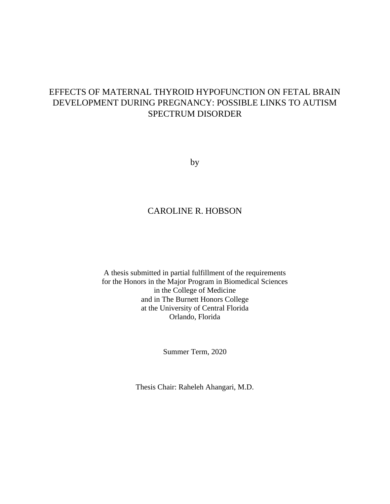# EFFECTS OF MATERNAL THYROID HYPOFUNCTION ON FETAL BRAIN DEVELOPMENT DURING PREGNANCY: POSSIBLE LINKS TO AUTISM SPECTRUM DISORDER

by

### CAROLINE R. HOBSON

A thesis submitted in partial fulfillment of the requirements for the Honors in the Major Program in Biomedical Sciences in the College of Medicine and in The Burnett Honors College at the University of Central Florida Orlando, Florida

Summer Term, 2020

Thesis Chair: Raheleh Ahangari, M.D.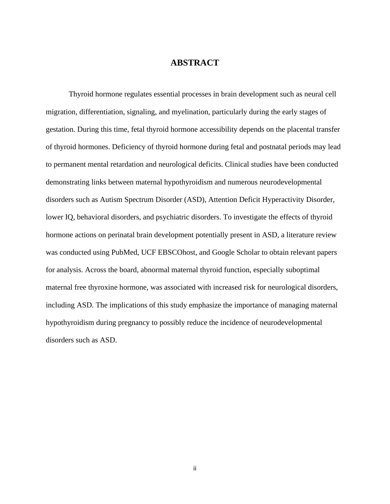### **ABSTRACT**

Thyroid hormone regulates essential processes in brain development such as neural cell migration, differentiation, signaling, and myelination, particularly during the early stages of gestation. During this time, fetal thyroid hormone accessibility depends on the placental transfer of thyroid hormones. Deficiency of thyroid hormone during fetal and postnatal periods may lead to permanent mental retardation and neurological deficits. Clinical studies have been conducted demonstrating links between maternal hypothyroidism and numerous neurodevelopmental disorders such as Autism Spectrum Disorder (ASD), Attention Deficit Hyperactivity Disorder, lower IQ, behavioral disorders, and psychiatric disorders. To investigate the effects of thyroid hormone actions on perinatal brain development potentially present in ASD, a literature review was conducted using PubMed, UCF EBSCOhost, and Google Scholar to obtain relevant papers for analysis. Across the board, abnormal maternal thyroid function, especially suboptimal maternal free thyroxine hormone, was associated with increased risk for neurological disorders, including ASD. The implications of this study emphasize the importance of managing maternal hypothyroidism during pregnancy to possibly reduce the incidence of neurodevelopmental disorders such as ASD.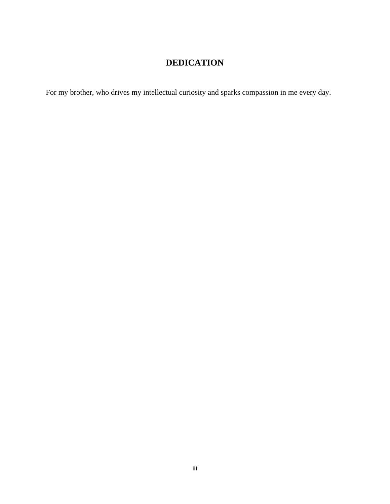# **DEDICATION**

For my brother, who drives my intellectual curiosity and sparks compassion in me every day.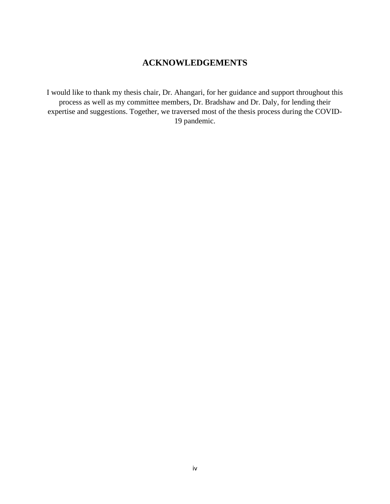# **ACKNOWLEDGEMENTS**

I would like to thank my thesis chair, Dr. Ahangari, for her guidance and support throughout this process as well as my committee members, Dr. Bradshaw and Dr. Daly, for lending their expertise and suggestions. Together, we traversed most of the thesis process during the COVID-19 pandemic.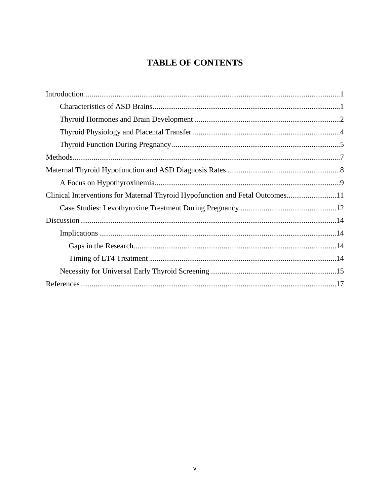# **TABLE OF CONTENTS**

| Clinical Interventions for Maternal Thyroid Hypofunction and Fetal Outcomes11 |
|-------------------------------------------------------------------------------|
|                                                                               |
|                                                                               |
|                                                                               |
|                                                                               |
|                                                                               |
|                                                                               |
|                                                                               |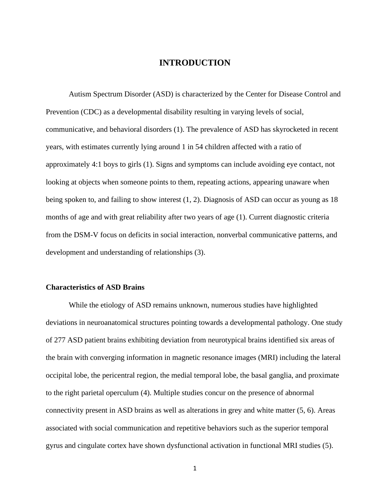### **INTRODUCTION**

Autism Spectrum Disorder (ASD) is characterized by the Center for Disease Control and Prevention (CDC) as a developmental disability resulting in varying levels of social, communicative, and behavioral disorders (1). The prevalence of ASD has skyrocketed in recent years, with estimates currently lying around 1 in 54 children affected with a ratio of approximately 4:1 boys to girls (1). Signs and symptoms can include avoiding eye contact, not looking at objects when someone points to them, repeating actions, appearing unaware when being spoken to, and failing to show interest (1, 2). Diagnosis of ASD can occur as young as 18 months of age and with great reliability after two years of age (1). Current diagnostic criteria from the DSM-V focus on deficits in social interaction, nonverbal communicative patterns, and development and understanding of relationships (3).

### **Characteristics of ASD Brains**

While the etiology of ASD remains unknown, numerous studies have highlighted deviations in neuroanatomical structures pointing towards a developmental pathology. One study of 277 ASD patient brains exhibiting deviation from neurotypical brains identified six areas of the brain with converging information in magnetic resonance images (MRI) including the lateral occipital lobe, the pericentral region, the medial temporal lobe, the basal ganglia, and proximate to the right parietal operculum (4). Multiple studies concur on the presence of abnormal connectivity present in ASD brains as well as alterations in grey and white matter (5, 6). Areas associated with social communication and repetitive behaviors such as the superior temporal gyrus and cingulate cortex have shown dysfunctional activation in functional MRI studies (5).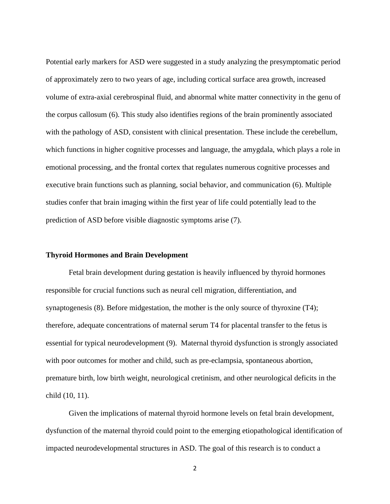Potential early markers for ASD were suggested in a study analyzing the presymptomatic period of approximately zero to two years of age, including cortical surface area growth, increased volume of extra-axial cerebrospinal fluid, and abnormal white matter connectivity in the genu of the corpus callosum (6). This study also identifies regions of the brain prominently associated with the pathology of ASD, consistent with clinical presentation. These include the cerebellum, which functions in higher cognitive processes and language, the amygdala, which plays a role in emotional processing, and the frontal cortex that regulates numerous cognitive processes and executive brain functions such as planning, social behavior, and communication (6). Multiple studies confer that brain imaging within the first year of life could potentially lead to the prediction of ASD before visible diagnostic symptoms arise (7).

### **Thyroid Hormones and Brain Development**

Fetal brain development during gestation is heavily influenced by thyroid hormones responsible for crucial functions such as neural cell migration, differentiation, and synaptogenesis (8). Before midgestation, the mother is the only source of thyroxine (T4); therefore, adequate concentrations of maternal serum T4 for placental transfer to the fetus is essential for typical neurodevelopment (9). Maternal thyroid dysfunction is strongly associated with poor outcomes for mother and child, such as pre-eclampsia, spontaneous abortion, premature birth, low birth weight, neurological cretinism, and other neurological deficits in the child (10, 11).

Given the implications of maternal thyroid hormone levels on fetal brain development, dysfunction of the maternal thyroid could point to the emerging etiopathological identification of impacted neurodevelopmental structures in ASD. The goal of this research is to conduct a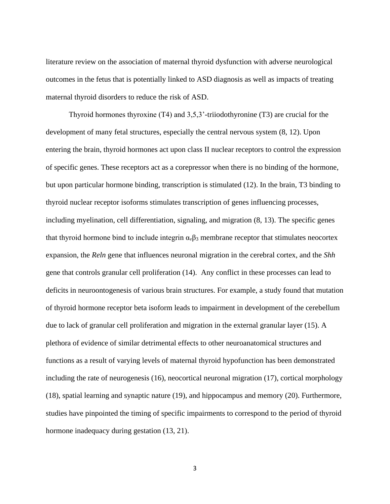literature review on the association of maternal thyroid dysfunction with adverse neurological outcomes in the fetus that is potentially linked to ASD diagnosis as well as impacts of treating maternal thyroid disorders to reduce the risk of ASD.

Thyroid hormones thyroxine (T4) and 3,5,3'-triiodothyronine (T3) are crucial for the development of many fetal structures, especially the central nervous system (8, 12). Upon entering the brain, thyroid hormones act upon class II nuclear receptors to control the expression of specific genes. These receptors act as a corepressor when there is no binding of the hormone, but upon particular hormone binding, transcription is stimulated (12). In the brain, T3 binding to thyroid nuclear receptor isoforms stimulates transcription of genes influencing processes, including myelination, cell differentiation, signaling, and migration (8, 13). The specific genes that thyroid hormone bind to include integrin  $\alpha_{\nu}\beta_3$  membrane receptor that stimulates neocortex expansion, the *Reln* gene that influences neuronal migration in the cerebral cortex, and the *Shh*  gene that controls granular cell proliferation (14). Any conflict in these processes can lead to deficits in neuroontogenesis of various brain structures. For example, a study found that mutation of thyroid hormone receptor beta isoform leads to impairment in development of the cerebellum due to lack of granular cell proliferation and migration in the external granular layer (15). A plethora of evidence of similar detrimental effects to other neuroanatomical structures and functions as a result of varying levels of maternal thyroid hypofunction has been demonstrated including the rate of neurogenesis (16), neocortical neuronal migration (17), cortical morphology (18), spatial learning and synaptic nature (19), and hippocampus and memory (20). Furthermore, studies have pinpointed the timing of specific impairments to correspond to the period of thyroid hormone inadequacy during gestation (13, 21).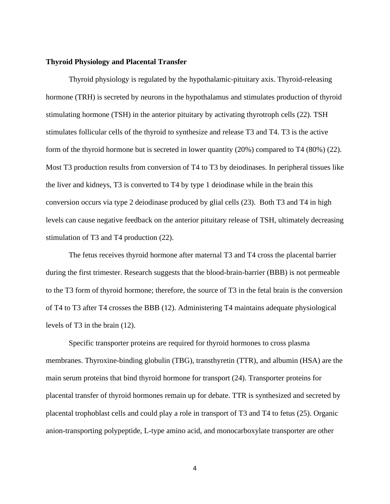#### **Thyroid Physiology and Placental Transfer**

Thyroid physiology is regulated by the hypothalamic-pituitary axis. Thyroid-releasing hormone (TRH) is secreted by neurons in the hypothalamus and stimulates production of thyroid stimulating hormone (TSH) in the anterior pituitary by activating thyrotroph cells (22). TSH stimulates follicular cells of the thyroid to synthesize and release T3 and T4. T3 is the active form of the thyroid hormone but is secreted in lower quantity (20%) compared to T4 (80%) (22). Most T3 production results from conversion of T4 to T3 by deiodinases. In peripheral tissues like the liver and kidneys, T3 is converted to T4 by type 1 deiodinase while in the brain this conversion occurs via type 2 deiodinase produced by glial cells (23). Both T3 and T4 in high levels can cause negative feedback on the anterior pituitary release of TSH, ultimately decreasing stimulation of T3 and T4 production (22).

The fetus receives thyroid hormone after maternal T3 and T4 cross the placental barrier during the first trimester. Research suggests that the blood-brain-barrier (BBB) is not permeable to the T3 form of thyroid hormone; therefore, the source of T3 in the fetal brain is the conversion of T4 to T3 after T4 crosses the BBB (12). Administering T4 maintains adequate physiological levels of T3 in the brain (12).

Specific transporter proteins are required for thyroid hormones to cross plasma membranes. Thyroxine-binding globulin (TBG), transthyretin (TTR), and albumin (HSA) are the main serum proteins that bind thyroid hormone for transport (24). Transporter proteins for placental transfer of thyroid hormones remain up for debate. TTR is synthesized and secreted by placental trophoblast cells and could play a role in transport of T3 and T4 to fetus (25). Organic anion-transporting polypeptide, L-type amino acid, and monocarboxylate transporter are other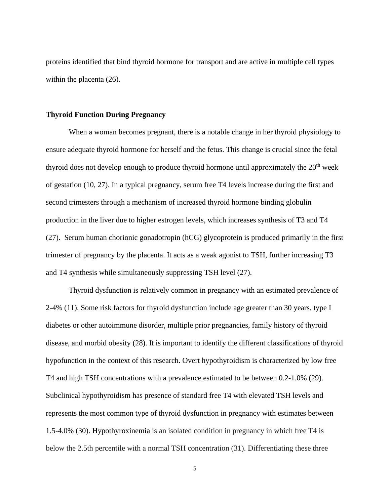proteins identified that bind thyroid hormone for transport and are active in multiple cell types within the placenta  $(26)$ .

#### **Thyroid Function During Pregnancy**

When a woman becomes pregnant, there is a notable change in her thyroid physiology to ensure adequate thyroid hormone for herself and the fetus. This change is crucial since the fetal thyroid does not develop enough to produce thyroid hormone until approximately the  $20<sup>th</sup>$  week of gestation (10, 27). In a typical pregnancy, serum free T4 levels increase during the first and second trimesters through a mechanism of increased thyroid hormone binding globulin production in the liver due to higher estrogen levels, which increases synthesis of T3 and T4 (27). Serum human chorionic gonadotropin (hCG) glycoprotein is produced primarily in the first trimester of pregnancy by the placenta. It acts as a weak agonist to TSH, further increasing T3 and T4 synthesis while simultaneously suppressing TSH level (27).

Thyroid dysfunction is relatively common in pregnancy with an estimated prevalence of 2-4% (11). Some risk factors for thyroid dysfunction include age greater than 30 years, type I diabetes or other autoimmune disorder, multiple prior pregnancies, family history of thyroid disease, and morbid obesity (28). It is important to identify the different classifications of thyroid hypofunction in the context of this research. Overt hypothyroidism is characterized by low free T4 and high TSH concentrations with a prevalence estimated to be between 0.2-1.0% (29). Subclinical hypothyroidism has presence of standard free T4 with elevated TSH levels and represents the most common type of thyroid dysfunction in pregnancy with estimates between 1.5-4.0% (30). Hypothyroxinemia is an isolated condition in pregnancy in which free T4 is below the 2.5th percentile with a normal TSH concentration (31). Differentiating these three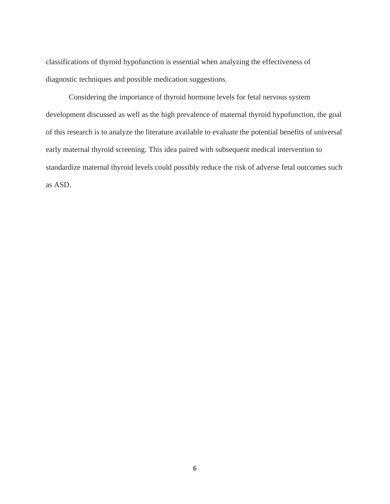classifications of thyroid hypofunction is essential when analyzing the effectiveness of diagnostic techniques and possible medication suggestions.

Considering the importance of thyroid hormone levels for fetal nervous system development discussed as well as the high prevalence of maternal thyroid hypofunction, the goal of this research is to analyze the literature available to evaluate the potential benefits of universal early maternal thyroid screening. This idea paired with subsequent medical intervention to standardize maternal thyroid levels could possibly reduce the risk of adverse fetal outcomes such as ASD.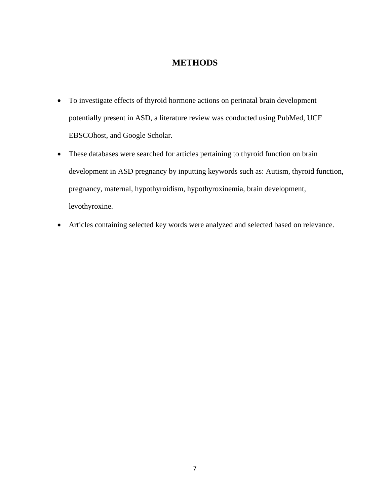### **METHODS**

- To investigate effects of thyroid hormone actions on perinatal brain development potentially present in ASD, a literature review was conducted using PubMed, UCF EBSCOhost, and Google Scholar.
- These databases were searched for articles pertaining to thyroid function on brain development in ASD pregnancy by inputting keywords such as: Autism, thyroid function, pregnancy, maternal, hypothyroidism, hypothyroxinemia, brain development, levothyroxine.
- Articles containing selected key words were analyzed and selected based on relevance.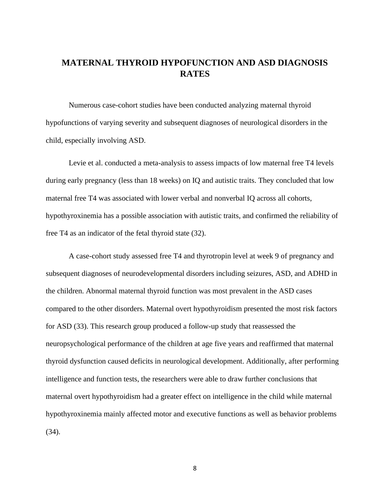### **MATERNAL THYROID HYPOFUNCTION AND ASD DIAGNOSIS RATES**

Numerous case-cohort studies have been conducted analyzing maternal thyroid hypofunctions of varying severity and subsequent diagnoses of neurological disorders in the child, especially involving ASD.

Levie et al. conducted a meta-analysis to assess impacts of low maternal free T4 levels during early pregnancy (less than 18 weeks) on IQ and autistic traits. They concluded that low maternal free T4 was associated with lower verbal and nonverbal IQ across all cohorts, hypothyroxinemia has a possible association with autistic traits, and confirmed the reliability of free T4 as an indicator of the fetal thyroid state (32).

A case-cohort study assessed free T4 and thyrotropin level at week 9 of pregnancy and subsequent diagnoses of neurodevelopmental disorders including seizures, ASD, and ADHD in the children. Abnormal maternal thyroid function was most prevalent in the ASD cases compared to the other disorders. Maternal overt hypothyroidism presented the most risk factors for ASD (33). This research group produced a follow-up study that reassessed the neuropsychological performance of the children at age five years and reaffirmed that maternal thyroid dysfunction caused deficits in neurological development. Additionally, after performing intelligence and function tests, the researchers were able to draw further conclusions that maternal overt hypothyroidism had a greater effect on intelligence in the child while maternal hypothyroxinemia mainly affected motor and executive functions as well as behavior problems (34).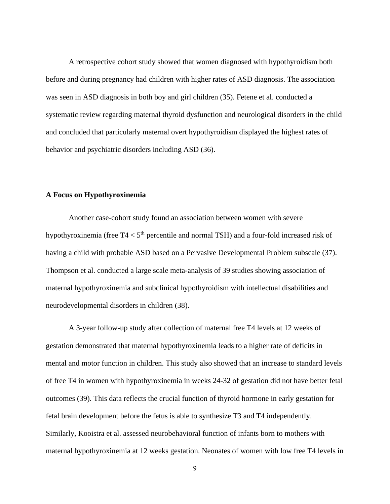A retrospective cohort study showed that women diagnosed with hypothyroidism both before and during pregnancy had children with higher rates of ASD diagnosis. The association was seen in ASD diagnosis in both boy and girl children (35). Fetene et al. conducted a systematic review regarding maternal thyroid dysfunction and neurological disorders in the child and concluded that particularly maternal overt hypothyroidism displayed the highest rates of behavior and psychiatric disorders including ASD (36).

### **A Focus on Hypothyroxinemia**

Another case-cohort study found an association between women with severe hypothyroxinemia (free  $T4 < 5<sup>th</sup>$  percentile and normal TSH) and a four-fold increased risk of having a child with probable ASD based on a Pervasive Developmental Problem subscale (37). Thompson et al. conducted a large scale meta-analysis of 39 studies showing association of maternal hypothyroxinemia and subclinical hypothyroidism with intellectual disabilities and neurodevelopmental disorders in children (38).

A 3-year follow-up study after collection of maternal free T4 levels at 12 weeks of gestation demonstrated that maternal hypothyroxinemia leads to a higher rate of deficits in mental and motor function in children. This study also showed that an increase to standard levels of free T4 in women with hypothyroxinemia in weeks 24-32 of gestation did not have better fetal outcomes (39). This data reflects the crucial function of thyroid hormone in early gestation for fetal brain development before the fetus is able to synthesize T3 and T4 independently. Similarly, Kooistra et al. assessed neurobehavioral function of infants born to mothers with maternal hypothyroxinemia at 12 weeks gestation. Neonates of women with low free T4 levels in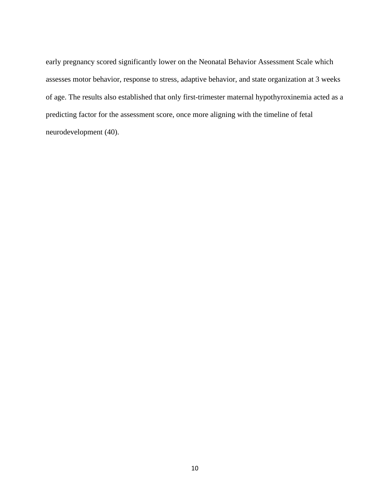early pregnancy scored significantly lower on the Neonatal Behavior Assessment Scale which assesses motor behavior, response to stress, adaptive behavior, and state organization at 3 weeks of age. The results also established that only first-trimester maternal hypothyroxinemia acted as a predicting factor for the assessment score, once more aligning with the timeline of fetal neurodevelopment (40).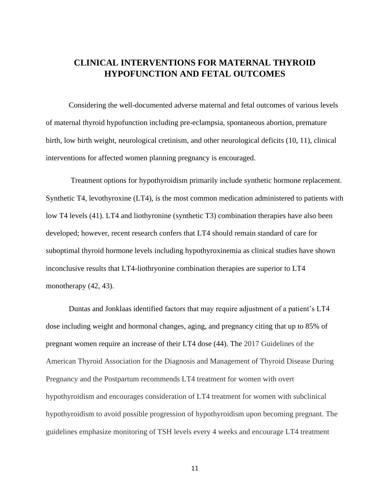### **CLINICAL INTERVENTIONS FOR MATERNAL THYROID HYPOFUNCTION AND FETAL OUTCOMES**

Considering the well-documented adverse maternal and fetal outcomes of various levels of maternal thyroid hypofunction including pre-eclampsia, spontaneous abortion, premature birth, low birth weight, neurological cretinism, and other neurological deficits (10, 11), clinical interventions for affected women planning pregnancy is encouraged.

Treatment options for hypothyroidism primarily include synthetic hormone replacement. Synthetic T4, levothyroxine (LT4), is the most common medication administered to patients with low T4 levels (41). LT4 and liothyronine (synthetic T3) combination therapies have also been developed; however, recent research confers that LT4 should remain standard of care for suboptimal thyroid hormone levels including hypothyroxinemia as clinical studies have shown inconclusive results that LT4-liothryonine combination therapies are superior to LT4 monotherapy  $(42, 43)$ .

Duntas and Jonklaas identified factors that may require adjustment of a patient's LT4 dose including weight and hormonal changes, aging, and pregnancy citing that up to 85% of pregnant women require an increase of their LT4 dose (44). The 2017 Guidelines of the American Thyroid Association for the Diagnosis and Management of Thyroid Disease During Pregnancy and the Postpartum recommends LT4 treatment for women with overt hypothyroidism and encourages consideration of LT4 treatment for women with subclinical hypothyroidism to avoid possible progression of hypothyroidism upon becoming pregnant. The guidelines emphasize monitoring of TSH levels every 4 weeks and encourage LT4 treatment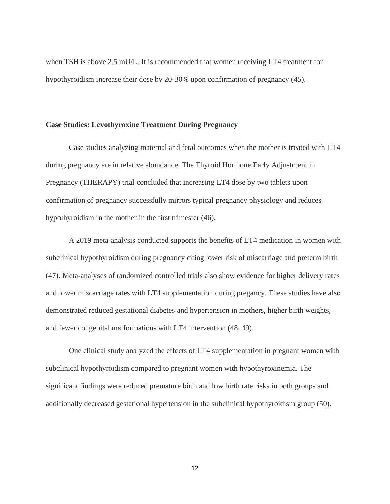when TSH is above 2.5 mU/L. It is recommended that women receiving LT4 treatment for hypothyroidism increase their dose by 20-30% upon confirmation of pregnancy (45).

### **Case Studies: Levothyroxine Treatment During Pregnancy**

Case studies analyzing maternal and fetal outcomes when the mother is treated with LT4 during pregnancy are in relative abundance. The Thyroid Hormone Early Adjustment in Pregnancy (THERAPY) trial concluded that increasing LT4 dose by two tablets upon confirmation of pregnancy successfully mirrors typical pregnancy physiology and reduces hypothyroidism in the mother in the first trimester (46).

A 2019 meta-analysis conducted supports the benefits of LT4 medication in women with subclinical hypothyroidism during pregnancy citing lower risk of miscarriage and preterm birth (47). Meta-analyses of randomized controlled trials also show evidence for higher delivery rates and lower miscarriage rates with LT4 supplementation during pregancy. These studies have also demonstrated reduced gestational diabetes and hypertension in mothers, higher birth weights, and fewer congenital malformations with LT4 intervention (48, 49).

One clinical study analyzed the effects of LT4 supplementation in pregnant women with subclinical hypothyroidism compared to pregnant women with hypothyroxinemia. The significant findings were reduced premature birth and low birth rate risks in both groups and additionally decreased gestational hypertension in the subclinical hypothyroidism group (50).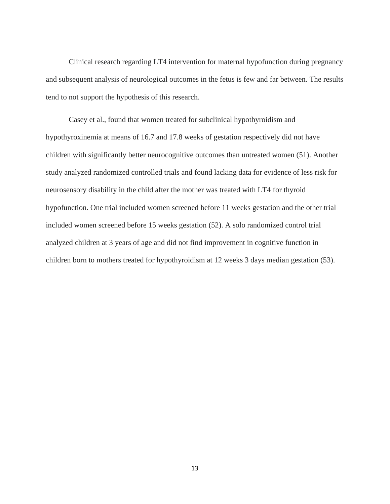Clinical research regarding LT4 intervention for maternal hypofunction during pregnancy and subsequent analysis of neurological outcomes in the fetus is few and far between. The results tend to not support the hypothesis of this research.

Casey et al., found that women treated for subclinical hypothyroidism and hypothyroxinemia at means of 16.7 and 17.8 weeks of gestation respectively did not have children with significantly better neurocognitive outcomes than untreated women (51). Another study analyzed randomized controlled trials and found lacking data for evidence of less risk for neurosensory disability in the child after the mother was treated with LT4 for thyroid hypofunction. One trial included women screened before 11 weeks gestation and the other trial included women screened before 15 weeks gestation (52). A solo randomized control trial analyzed children at 3 years of age and did not find improvement in cognitive function in children born to mothers treated for hypothyroidism at 12 weeks 3 days median gestation (53).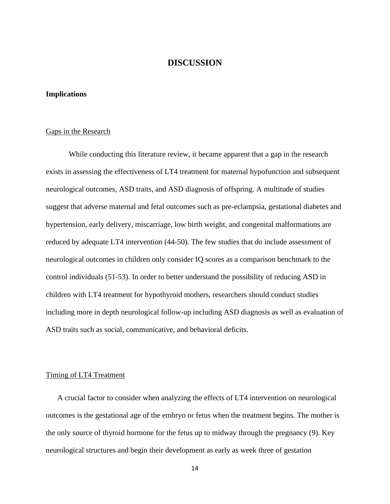### **DISCUSSION**

### **Implications**

#### Gaps in the Research

While conducting this literature review, it became apparent that a gap in the research exists in assessing the effectiveness of LT4 treatment for maternal hypofunction and subsequent neurological outcomes, ASD traits, and ASD diagnosis of offspring. A multitude of studies suggest that adverse maternal and fetal outcomes such as pre-eclampsia, gestational diabetes and hypertension, early delivery, miscarriage, low birth weight, and congenital malformations are reduced by adequate LT4 intervention (44-50). The few studies that do include assessment of neurological outcomes in children only consider IQ scores as a comparison benchmark to the control individuals (51-53). In order to better understand the possibility of reducing ASD in children with LT4 treatment for hypothyroid mothers, researchers should conduct studies including more in depth neurological follow-up including ASD diagnosis as well as evaluation of ASD traits such as social, communicative, and behavioral deficits.

#### Timing of LT4 Treatment

A crucial factor to consider when analyzing the effects of LT4 intervention on neurological outcomes is the gestational age of the embryo or fetus when the treatment begins. The mother is the only source of thyroid hormone for the fetus up to midway through the pregnancy (9). Key neurological structures and begin their development as early as week three of gestation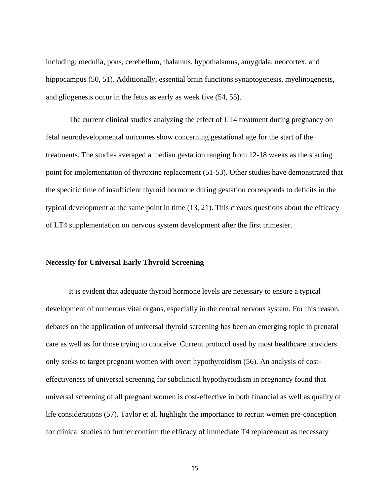including: medulla, pons, cerebellum, thalamus, hypothalamus, amygdala, neocortex, and hippocampus (50, 51). Additionally, essential brain functions synaptogenesis, myelinogenesis, and gliogenesis occur in the fetus as early as week five (54, 55).

The current clinical studies analyzing the effect of LT4 treatment during pregnancy on fetal neurodevelopmental outcomes show concerning gestational age for the start of the treatments. The studies averaged a median gestation ranging from 12-18 weeks as the starting point for implementation of thyroxine replacement (51-53). Other studies have demonstrated that the specific time of insufficient thyroid hormone during gestation corresponds to deficits in the typical development at the same point in time (13, 21). This creates questions about the efficacy of LT4 supplementation on nervous system development after the first trimester.

### **Necessity for Universal Early Thyroid Screening**

It is evident that adequate thyroid hormone levels are necessary to ensure a typical development of numerous vital organs, especially in the central nervous system. For this reason, debates on the application of universal thyroid screening has been an emerging topic in prenatal care as well as for those trying to conceive. Current protocol used by most healthcare providers only seeks to target pregnant women with overt hypothyroidism (56). An analysis of costeffectiveness of universal screening for subclinical hypothyroidism in pregnancy found that universal screening of all pregnant women is cost-effective in both financial as well as quality of life considerations (57). Taylor et al. highlight the importance to recruit women pre-conception for clinical studies to further confirm the efficacy of immediate T4 replacement as necessary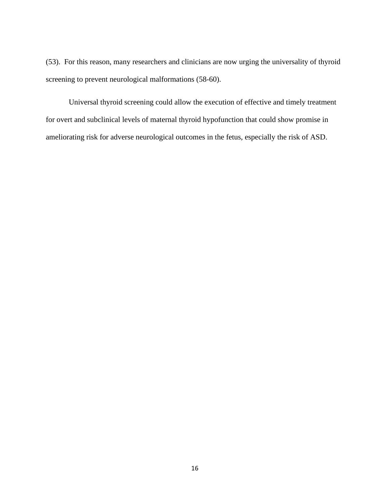(53). For this reason, many researchers and clinicians are now urging the universality of thyroid screening to prevent neurological malformations (58-60).

Universal thyroid screening could allow the execution of effective and timely treatment for overt and subclinical levels of maternal thyroid hypofunction that could show promise in ameliorating risk for adverse neurological outcomes in the fetus, especially the risk of ASD.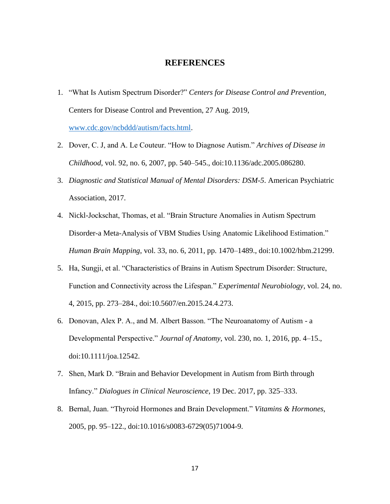### **REFERENCES**

- 1. "What Is Autism Spectrum Disorder?" *Centers for Disease Control and Prevention*, Centers for Disease Control and Prevention, 27 Aug. 2019, [www.cdc.gov/ncbddd/autism/facts.html.](http://www.cdc.gov/ncbddd/autism/facts.html)
- 2. Dover, C. J, and A. Le Couteur. "How to Diagnose Autism." *Archives of Disease in Childhood*, vol. 92, no. 6, 2007, pp. 540–545., doi:10.1136/adc.2005.086280.
- 3. *Diagnostic and Statistical Manual of Mental Disorders: DSM-5*. American Psychiatric Association, 2017.
- 4. Nickl-Jockschat, Thomas, et al. "Brain Structure Anomalies in Autism Spectrum Disorder-a Meta-Analysis of VBM Studies Using Anatomic Likelihood Estimation." *Human Brain Mapping*, vol. 33, no. 6, 2011, pp. 1470–1489., doi:10.1002/hbm.21299.
- 5. Ha, Sungji, et al. "Characteristics of Brains in Autism Spectrum Disorder: Structure, Function and Connectivity across the Lifespan." *Experimental Neurobiology*, vol. 24, no. 4, 2015, pp. 273–284., doi:10.5607/en.2015.24.4.273.
- 6. Donovan, Alex P. A., and M. Albert Basson. "The Neuroanatomy of Autism a Developmental Perspective." *Journal of Anatomy*, vol. 230, no. 1, 2016, pp. 4–15., doi:10.1111/joa.12542.
- 7. Shen, Mark D. "Brain and Behavior Development in Autism from Birth through Infancy." *Dialogues in Clinical Neuroscience*, 19 Dec. 2017, pp. 325–333.
- 8. Bernal, Juan. "Thyroid Hormones and Brain Development." *Vitamins & Hormones*, 2005, pp. 95–122., doi:10.1016/s0083-6729(05)71004-9.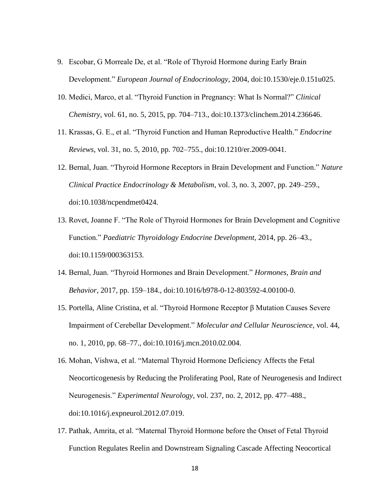- 9. Escobar, G Morreale De, et al. "Role of Thyroid Hormone during Early Brain Development." *European Journal of Endocrinology*, 2004, doi:10.1530/eje.0.151u025.
- 10. Medici, Marco, et al. "Thyroid Function in Pregnancy: What Is Normal?" *Clinical Chemistry*, vol. 61, no. 5, 2015, pp. 704–713., doi:10.1373/clinchem.2014.236646.
- 11. Krassas, G. E., et al. "Thyroid Function and Human Reproductive Health." *Endocrine Reviews*, vol. 31, no. 5, 2010, pp. 702–755., doi:10.1210/er.2009-0041.
- 12. Bernal, Juan. "Thyroid Hormone Receptors in Brain Development and Function." *Nature Clinical Practice Endocrinology & Metabolism*, vol. 3, no. 3, 2007, pp. 249–259., doi:10.1038/ncpendmet0424.
- 13. Rovet, Joanne F. "The Role of Thyroid Hormones for Brain Development and Cognitive Function." *Paediatric Thyroidology Endocrine Development*, 2014, pp. 26–43., doi:10.1159/000363153.
- 14. Bernal, Juan. "Thyroid Hormones and Brain Development." *Hormones, Brain and Behavior*, 2017, pp. 159–184., doi:10.1016/b978-0-12-803592-4.00100-0.
- 15. Portella, Aline Cristina, et al. "Thyroid Hormone Receptor β Mutation Causes Severe Impairment of Cerebellar Development." *Molecular and Cellular Neuroscience*, vol. 44, no. 1, 2010, pp. 68–77., doi:10.1016/j.mcn.2010.02.004.
- 16. Mohan, Vishwa, et al. "Maternal Thyroid Hormone Deficiency Affects the Fetal Neocorticogenesis by Reducing the Proliferating Pool, Rate of Neurogenesis and Indirect Neurogenesis." *Experimental Neurology*, vol. 237, no. 2, 2012, pp. 477–488., doi:10.1016/j.expneurol.2012.07.019.
- 17. Pathak, Amrita, et al. "Maternal Thyroid Hormone before the Onset of Fetal Thyroid Function Regulates Reelin and Downstream Signaling Cascade Affecting Neocortical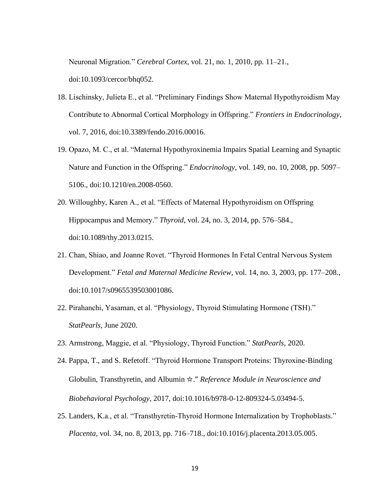Neuronal Migration." *Cerebral Cortex*, vol. 21, no. 1, 2010, pp. 11–21., doi:10.1093/cercor/bhq052.

- 18. Lischinsky, Julieta E., et al. "Preliminary Findings Show Maternal Hypothyroidism May Contribute to Abnormal Cortical Morphology in Offspring." *Frontiers in Endocrinology*, vol. 7, 2016, doi:10.3389/fendo.2016.00016.
- 19. Opazo, M. C., et al. "Maternal Hypothyroxinemia Impairs Spatial Learning and Synaptic Nature and Function in the Offspring." *Endocrinology*, vol. 149, no. 10, 2008, pp. 5097– 5106., doi:10.1210/en.2008-0560.
- 20. Willoughby, Karen A., et al. "Effects of Maternal Hypothyroidism on Offspring Hippocampus and Memory." *Thyroid*, vol. 24, no. 3, 2014, pp. 576–584., doi:10.1089/thy.2013.0215.
- 21. Chan, Shiao, and Joanne Rovet. "Thyroid Hormones In Fetal Central Nervous System Development." *Fetal and Maternal Medicine Review*, vol. 14, no. 3, 2003, pp. 177–208., doi:10.1017/s0965539503001086.
- 22. Pirahanchi, Yasaman, et al. "Physiology, Thyroid Stimulating Hormone (TSH)." *StatPearls*, June 2020.
- 23. Armstrong, Maggie, et al. "Physiology, Thyroid Function." *StatPearls*, 2020.
- 24. Pappa, T., and S. Refetoff. "Thyroid Hormone Transport Proteins: Thyroxine-Binding Globulin, Transthyretin, and Albumin ☆." *Reference Module in Neuroscience and Biobehavioral Psychology*, 2017, doi:10.1016/b978-0-12-809324-5.03494-5.
- 25. Landers, K.a., et al. "Transthyretin-Thyroid Hormone Internalization by Trophoblasts." *Placenta*, vol. 34, no. 8, 2013, pp. 716–718., doi:10.1016/j.placenta.2013.05.005.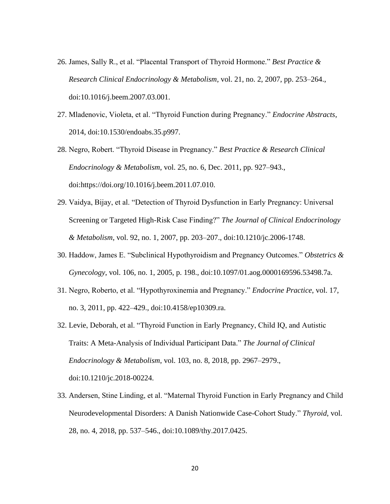- 26. James, Sally R., et al. "Placental Transport of Thyroid Hormone." *Best Practice & Research Clinical Endocrinology & Metabolism*, vol. 21, no. 2, 2007, pp. 253–264., doi:10.1016/j.beem.2007.03.001.
- 27. Mladenovic, Violeta, et al. "Thyroid Function during Pregnancy." *Endocrine Abstracts*, 2014, doi:10.1530/endoabs.35.p997.
- 28. Negro, Robert. "Thyroid Disease in Pregnancy." *Best Practice & Research Clinical Endocrinology & Metabolism*, vol. 25, no. 6, Dec. 2011, pp. 927–943., doi:https://doi.org/10.1016/j.beem.2011.07.010.
- 29. Vaidya, Bijay, et al. "Detection of Thyroid Dysfunction in Early Pregnancy: Universal Screening or Targeted High-Risk Case Finding?" *The Journal of Clinical Endocrinology & Metabolism*, vol. 92, no. 1, 2007, pp. 203–207., doi:10.1210/jc.2006-1748.
- 30. Haddow, James E. "Subclinical Hypothyroidism and Pregnancy Outcomes." *Obstetrics & Gynecology*, vol. 106, no. 1, 2005, p. 198., doi:10.1097/01.aog.0000169596.53498.7a.
- 31. Negro, Roberto, et al. "Hypothyroxinemia and Pregnancy." *Endocrine Practice*, vol. 17, no. 3, 2011, pp. 422–429., doi:10.4158/ep10309.ra.
- 32. Levie, Deborah, et al. "Thyroid Function in Early Pregnancy, Child IQ, and Autistic Traits: A Meta-Analysis of Individual Participant Data." *The Journal of Clinical Endocrinology & Metabolism*, vol. 103, no. 8, 2018, pp. 2967–2979., doi:10.1210/jc.2018-00224.
- 33. Andersen, Stine Linding, et al. "Maternal Thyroid Function in Early Pregnancy and Child Neurodevelopmental Disorders: A Danish Nationwide Case-Cohort Study." *Thyroid*, vol. 28, no. 4, 2018, pp. 537–546., doi:10.1089/thy.2017.0425.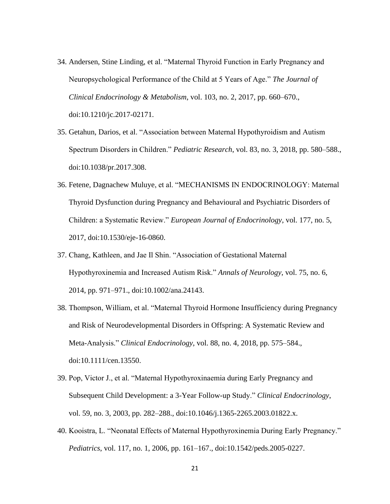- 34. Andersen, Stine Linding, et al. "Maternal Thyroid Function in Early Pregnancy and Neuropsychological Performance of the Child at 5 Years of Age." *The Journal of Clinical Endocrinology & Metabolism*, vol. 103, no. 2, 2017, pp. 660–670., doi:10.1210/jc.2017-02171.
- 35. Getahun, Darios, et al. "Association between Maternal Hypothyroidism and Autism Spectrum Disorders in Children." *Pediatric Research*, vol. 83, no. 3, 2018, pp. 580–588., doi:10.1038/pr.2017.308.
- 36. Fetene, Dagnachew Muluye, et al. "MECHANISMS IN ENDOCRINOLOGY: Maternal Thyroid Dysfunction during Pregnancy and Behavioural and Psychiatric Disorders of Children: a Systematic Review." *European Journal of Endocrinology*, vol. 177, no. 5, 2017, doi:10.1530/eje-16-0860.
- 37. Chang, Kathleen, and Jae Il Shin. "Association of Gestational Maternal Hypothyroxinemia and Increased Autism Risk." *Annals of Neurology*, vol. 75, no. 6, 2014, pp. 971–971., doi:10.1002/ana.24143.
- 38. Thompson, William, et al. "Maternal Thyroid Hormone Insufficiency during Pregnancy and Risk of Neurodevelopmental Disorders in Offspring: A Systematic Review and Meta-Analysis." *Clinical Endocrinology*, vol. 88, no. 4, 2018, pp. 575–584., doi:10.1111/cen.13550.
- 39. Pop, Victor J., et al. "Maternal Hypothyroxinaemia during Early Pregnancy and Subsequent Child Development: a 3-Year Follow-up Study." *Clinical Endocrinology*, vol. 59, no. 3, 2003, pp. 282–288., doi:10.1046/j.1365-2265.2003.01822.x.
- 40. Kooistra, L. "Neonatal Effects of Maternal Hypothyroxinemia During Early Pregnancy." *Pediatrics*, vol. 117, no. 1, 2006, pp. 161–167., doi:10.1542/peds.2005-0227.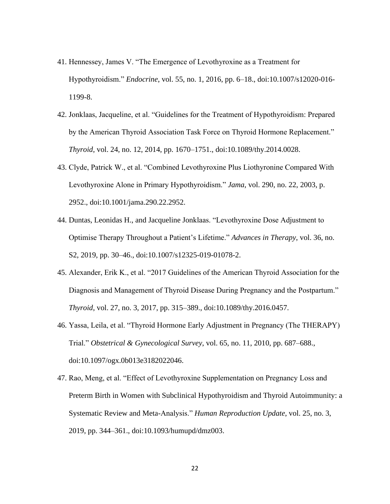- 41. Hennessey, James V. "The Emergence of Levothyroxine as a Treatment for Hypothyroidism." *Endocrine*, vol. 55, no. 1, 2016, pp. 6–18., doi:10.1007/s12020-016- 1199-8.
- 42. Jonklaas, Jacqueline, et al. "Guidelines for the Treatment of Hypothyroidism: Prepared by the American Thyroid Association Task Force on Thyroid Hormone Replacement." *Thyroid*, vol. 24, no. 12, 2014, pp. 1670–1751., doi:10.1089/thy.2014.0028.
- 43. Clyde, Patrick W., et al. "Combined Levothyroxine Plus Liothyronine Compared With Levothyroxine Alone in Primary Hypothyroidism." *Jama*, vol. 290, no. 22, 2003, p. 2952., doi:10.1001/jama.290.22.2952.
- 44. Duntas, Leonidas H., and Jacqueline Jonklaas. "Levothyroxine Dose Adjustment to Optimise Therapy Throughout a Patient's Lifetime." *Advances in Therapy*, vol. 36, no. S2, 2019, pp. 30–46., doi:10.1007/s12325-019-01078-2.
- 45. Alexander, Erik K., et al. "2017 Guidelines of the American Thyroid Association for the Diagnosis and Management of Thyroid Disease During Pregnancy and the Postpartum." *Thyroid*, vol. 27, no. 3, 2017, pp. 315–389., doi:10.1089/thy.2016.0457.
- 46. Yassa, Leila, et al. "Thyroid Hormone Early Adjustment in Pregnancy (The THERAPY) Trial." *Obstetrical & Gynecological Survey*, vol. 65, no. 11, 2010, pp. 687–688., doi:10.1097/ogx.0b013e3182022046.
- 47. Rao, Meng, et al. "Effect of Levothyroxine Supplementation on Pregnancy Loss and Preterm Birth in Women with Subclinical Hypothyroidism and Thyroid Autoimmunity: a Systematic Review and Meta-Analysis." *Human Reproduction Update*, vol. 25, no. 3, 2019, pp. 344–361., doi:10.1093/humupd/dmz003.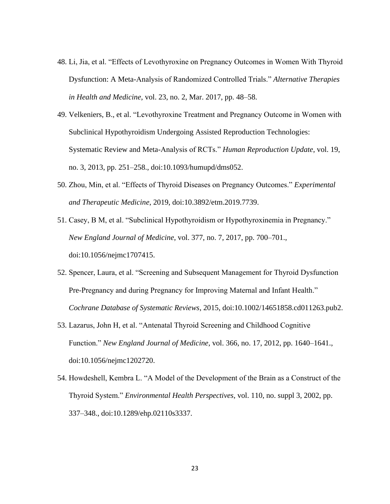- 48. Li, Jia, et al. "Effects of Levothyroxine on Pregnancy Outcomes in Women With Thyroid Dysfunction: A Meta-Analysis of Randomized Controlled Trials." *Alternative Therapies in Health and Medicine*, vol. 23, no. 2, Mar. 2017, pp. 48–58.
- 49. Velkeniers, B., et al. "Levothyroxine Treatment and Pregnancy Outcome in Women with Subclinical Hypothyroidism Undergoing Assisted Reproduction Technologies: Systematic Review and Meta-Analysis of RCTs." *Human Reproduction Update*, vol. 19, no. 3, 2013, pp. 251–258., doi:10.1093/humupd/dms052.
- 50. Zhou, Min, et al. "Effects of Thyroid Diseases on Pregnancy Outcomes." *Experimental and Therapeutic Medicine*, 2019, doi:10.3892/etm.2019.7739.
- 51. Casey, B M, et al. "Subclinical Hypothyroidism or Hypothyroxinemia in Pregnancy." *New England Journal of Medicine*, vol. 377, no. 7, 2017, pp. 700–701., doi:10.1056/nejmc1707415.
- 52. Spencer, Laura, et al. "Screening and Subsequent Management for Thyroid Dysfunction Pre-Pregnancy and during Pregnancy for Improving Maternal and Infant Health." *Cochrane Database of Systematic Reviews*, 2015, doi:10.1002/14651858.cd011263.pub2.
- 53. Lazarus, John H, et al. "Antenatal Thyroid Screening and Childhood Cognitive Function." *New England Journal of Medicine*, vol. 366, no. 17, 2012, pp. 1640–1641., doi:10.1056/nejmc1202720.
- 54. Howdeshell, Kembra L. "A Model of the Development of the Brain as a Construct of the Thyroid System." *Environmental Health Perspectives*, vol. 110, no. suppl 3, 2002, pp. 337–348., doi:10.1289/ehp.02110s3337.